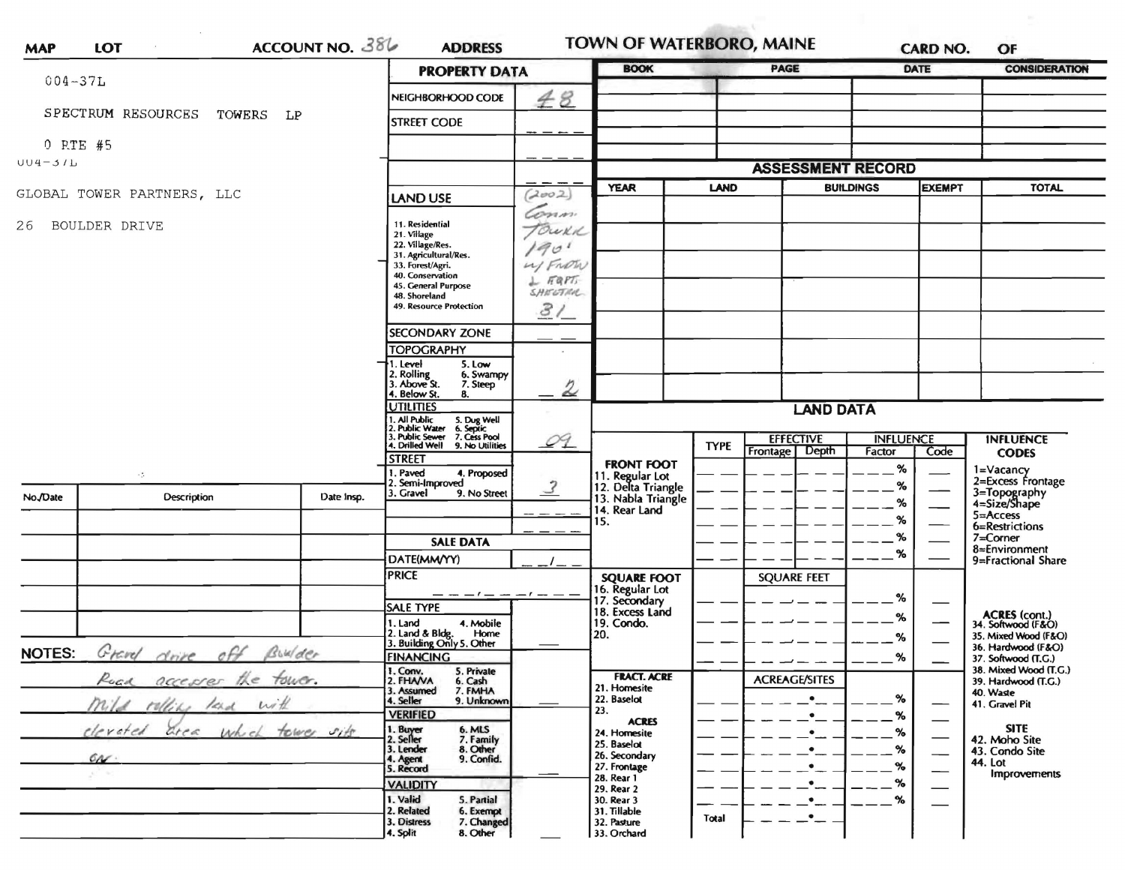| $004 - 37L$                                 |                                    |                                     | <b>PROPERTY DATA</b>                                                                    |                               |                                          | <b>PAGE</b>            |                                    | DATE                             | <b>CONSIDERATION</b> |                                              |
|---------------------------------------------|------------------------------------|-------------------------------------|-----------------------------------------------------------------------------------------|-------------------------------|------------------------------------------|------------------------|------------------------------------|----------------------------------|----------------------|----------------------------------------------|
|                                             |                                    |                                     | NEIGHBORHOOD CODE                                                                       | 48                            |                                          |                        |                                    |                                  |                      |                                              |
|                                             | SPECTRUM RESOURCES<br>TOWERS<br>LP | <b>STREET CODE</b>                  |                                                                                         |                               |                                          |                        |                                    |                                  |                      |                                              |
| 0 RTE #5                                    |                                    |                                     |                                                                                         |                               |                                          |                        |                                    |                                  |                      |                                              |
| $UU4 - 3IL$                                 |                                    |                                     |                                                                                         | <b>ASSESSMENT RECORD</b>      |                                          |                        |                                    |                                  |                      |                                              |
|                                             | GLOBAL TOWER PARTNERS, LLC         | (2002)<br>LAND USE                  |                                                                                         | <b>YEAR</b>                   | <b>LAND</b>                              |                        | <b>BUILDINGS</b>                   | <b>EXEMPT</b>                    | <b>TOTAL</b>         |                                              |
| 26                                          | BOULDER DRIVE                      | 11. Residential                     | Conn.<br>TOWKK                                                                          |                               |                                          |                        |                                    |                                  |                      |                                              |
|                                             |                                    |                                     | 21. Village<br>22. Village/Res.<br>31. Agricultural/Res.                                | 1901                          |                                          |                        |                                    |                                  |                      |                                              |
|                                             |                                    |                                     | 33. Forest/Agri.<br>40. Conservation                                                    | My FROM                       |                                          |                        |                                    |                                  |                      |                                              |
|                                             |                                    |                                     | 45. General Purpose                                                                     | $L$ FAPT<br>SHELTRA           |                                          |                        |                                    |                                  |                      |                                              |
|                                             |                                    |                                     | 48. Shoreland<br>49. Resource Protection                                                | 3/                            |                                          |                        |                                    |                                  |                      |                                              |
|                                             |                                    |                                     | <b>SECONDARY ZONE</b>                                                                   |                               |                                          |                        |                                    |                                  |                      |                                              |
|                                             |                                    |                                     | <b>TOPOGRAPHY</b><br>1. Level<br>5. Low                                                 |                               |                                          |                        |                                    |                                  |                      |                                              |
|                                             |                                    |                                     | 2. Rolling<br>3. Above St.<br>6. Swampy<br>7. Steep                                     | ⇙                             |                                          |                        |                                    |                                  |                      |                                              |
|                                             |                                    |                                     | 4. Below St.<br>8.<br><b>UTILITIES</b>                                                  | <b>LAND DATA</b>              |                                          |                        |                                    |                                  |                      |                                              |
|                                             |                                    |                                     | . All Public<br>. Public Water<br>5. Dug Well<br>6. Septic<br>Public Sewer 7. Cess Pool |                               |                                          |                        |                                    | <b>INFLUENCE</b>                 |                      |                                              |
|                                             |                                    |                                     | 4. Drilled Well 9. No Utilities<br><b>STREET</b>                                        | O <sub>1</sub>                |                                          | <b>TYPE</b>            | <b>EFFECTIVE</b><br>Frontage Depth | Factor                           | Code                 | <b>INFLUENCE</b><br><b>CODES</b>             |
|                                             | $\sim 5$                           |                                     | Paved<br>4. Proposed<br>Semi-Improved                                                   |                               | <b>FRONT FOOT</b><br>11. Regular Lot     |                        |                                    | $\%$                             |                      | 1=Vacancy<br>2=Excess Frontage               |
| No./Date                                    | <b>Description</b>                 | Date Insp.                          | 3. Gravel<br>9. No Street                                                               | $\mathcal{Z}$                 | 12. Delta Triangle<br>13. Nabla Triangle |                        |                                    | %<br>$\%$                        |                      | 3=Topography<br>4=Size/Shape                 |
|                                             |                                    |                                     |                                                                                         |                               | 14. Rear Land<br>15.                     |                        |                                    | %                                |                      | $5 =$ Access<br>6=Restrictions               |
|                                             |                                    |                                     | <b>SALE DATA</b>                                                                        |                               |                                          |                        |                                    | %                                |                      | $7 =$ Corner                                 |
|                                             |                                    |                                     | DATE(MM/YY)                                                                             |                               |                                          |                        |                                    | $\%$                             |                      | 8=Environment<br>9=Fractional Share          |
|                                             |                                    |                                     | <b>PRICE</b>                                                                            |                               | <b>SQUARE FOOT</b>                       |                        | <b>SOUARE FEET</b>                 |                                  |                      |                                              |
|                                             |                                    |                                     | $- - -  -     -$<br><b>SALE TYPE</b>                                                    |                               | 16. Regular Lot<br>17. Secondary         |                        |                                    | %                                |                      |                                              |
|                                             |                                    |                                     | 1. Land<br>4. Mobile                                                                    |                               | 18. Excess Land<br>19. Condo.            |                        |                                    | %                                |                      | ACRES (cont.)<br>34. Softwood (F&O)          |
|                                             |                                    |                                     | 2. Land & Bldg.<br>Home<br>3. Building Only 5. Other                                    |                               | 20.                                      |                        |                                    | %                                |                      | 35. Mixed Wood (F&O)<br>36. Hardwood (F&O)   |
| Grand<br>drive off Builder<br><b>NOTES:</b> |                                    |                                     | <b>FINANCING</b>                                                                        |                               |                                          |                        |                                    | $\%$                             |                      | 37. Softwood (T.C.)<br>38. Mixed Wood (T.G.) |
|                                             | Road accesser the four.            |                                     | 1. Conv.<br>5. Private<br>2. FHAVA<br>6. Cash<br>7. FMHA<br>3. Assumed                  |                               | <b>FRACT. ACRE</b><br>21. Homesite       |                        | <b>ACREAGE/SITES</b>               |                                  |                      | 39. Hardwood (T.G.)                          |
| mild rolling land with                      |                                    |                                     | 9. Unknown<br>4. Seller                                                                 |                               | 22. Baselot<br>23.                       |                        | $\bullet$                          | $\%$                             |                      | 40. Waste<br>41. Gravel Pit                  |
|                                             | cleveted                           | <b>VERIFIED</b>                     |                                                                                         | <b>ACRES</b>                  |                                          | $\bullet$<br>$\bullet$ | $\%$<br>$\%$                       | $\overbrace{\phantom{aaaaa}}^{}$ | <b>SITE</b>          |                                              |
| area which tower sits                       |                                    |                                     | 1. Buyer<br>2. Seller<br>6. MLS<br>7. Family<br>8. Other<br>3. Lender                   |                               | 24. Homesite<br>25. Baselot              |                        | $\bullet$                          | $\%$                             |                      | 42. Moho Site<br>43. Condo Site              |
|                                             | 60                                 | 4. Agent<br>9. Confid.<br>5. Record |                                                                                         | 26. Secondary<br>27. Frontage |                                          | $\bullet$              | %                                  | --<br>—                          | 44. Lot              |                                              |
|                                             |                                    |                                     | <b>VALIDITY</b>                                                                         |                               | 28. Rear 1<br>29. Rear 2                 |                        | $\bullet$                          | $\%$                             |                      | <b>Improvements</b>                          |
|                                             |                                    |                                     | 1. Valid<br>5. Partial<br>2. Related<br>6. Exempt                                       |                               | 30. Rear 3<br>31. Tillable               |                        | $\bullet_-$                        | $\gamma$                         |                      |                                              |
|                                             |                                    |                                     | 7. Changed<br>3. Distress                                                               |                               | 32. Pasture                              | Total                  | _•__                               |                                  |                      |                                              |